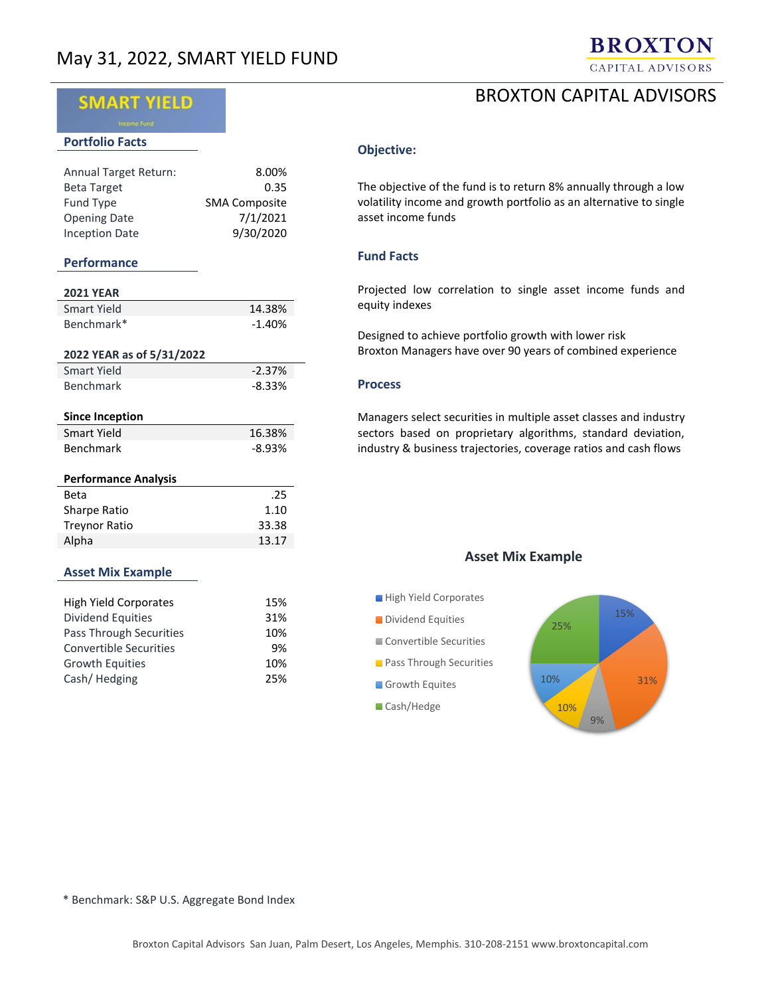

# BROXTON CAPITAL ADVISORS

# **SMART YIELD**

#### **Portfolio Facts**

| <b>Annual Target Return:</b> | 8.00%                |
|------------------------------|----------------------|
| <b>Beta Target</b>           | 0.35                 |
| Fund Type                    | <b>SMA Composite</b> |
| <b>Opening Date</b>          | 7/1/2021             |
| <b>Inception Date</b>        | 9/30/2020            |

#### **Performance**

| <b>2021 YEAR</b>            |          |
|-----------------------------|----------|
| Smart Yield                 | 14.38%   |
| Benchmark*                  | $-1.40%$ |
|                             |          |
| 2022 YEAR as of 5/31/2022   |          |
| Smart Yield                 | $-2.37%$ |
| Benchmark                   | -8.33%   |
|                             |          |
| <b>Since Inception</b>      |          |
| Smart Yield                 | 16.38%   |
| Benchmark                   | -8.93%   |
|                             |          |
| <b>Performance Analysis</b> |          |
| Beta                        | .25      |
| Sharpe Ratio                | 1.10     |
| <b>Treynor Ratio</b>        | 33.38    |
| Alpha                       | 13.17    |
|                             |          |
| <b>Asset Mix Example</b>    |          |

| <b>High Yield Corporates</b> | 15% |
|------------------------------|-----|
| <b>Dividend Equities</b>     | 31% |
| Pass Through Securities      | 10% |
| Convertible Securities       | 9%  |
| <b>Growth Equities</b>       | 10% |
| Cash/Hedging                 | 25% |

## **Objective:**

The objective of the fund is to return 8% annually through a low volatility income and growth portfolio as an alternative to single asset income funds

## **Fund Facts**

Projected low correlation to single asset income funds and equity indexes

Designed to achieve portfolio growth with lower risk Broxton Managers have over 90 years of combined experience

## **Process**

Managers select securities in multiple asset classes and industry sectors based on proprietary algorithms, standard deviation, industry & business trajectories, coverage ratios and cash flows

# **Asset Mix Example**



\* Benchmark: S&P U.S. Aggregate Bond Index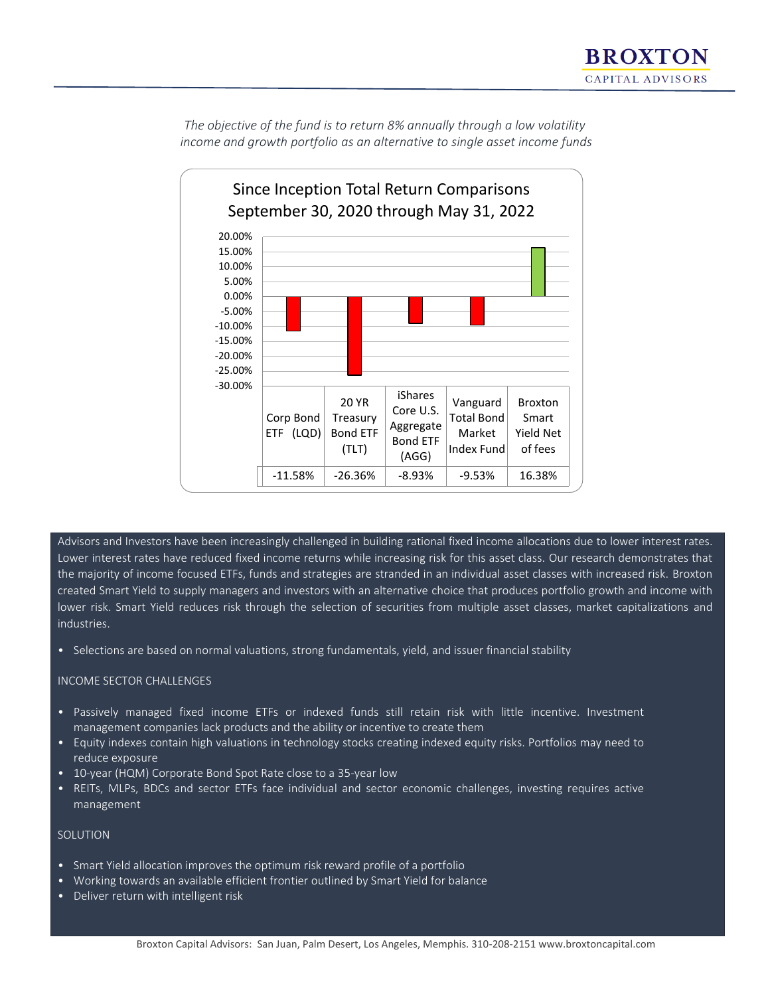*The objective of the fund is to return 8% annually through a low volatility income and growth portfolio as an alternative to single asset income funds*



Advisors and Investors have been increasingly challenged in building rational fixed income allocations due to lower interest rates. Lower interest rates have reduced fixed income returns while increasing risk for this asset class. Our research demonstrates that the majority of income focused ETFs, funds and strategies are stranded in an individual asset classes with increased risk. Broxton created Smart Yield to supply managers and investors with an alternative choice that produces portfolio growth and income with lower risk. Smart Yield reduces risk through the selection of securities from multiple asset classes, market capitalizations and industries.

• Selections are based on normal valuations, strong fundamentals, yield, and issuer financial stability

## INCOME SECTOR CHALLENGES

- Passively managed fixed income ETFs or indexed funds still retain risk with little incentive. Investment management companies lack products and the ability or incentive to create them
- Equity indexes contain high valuations in technology stocks creating indexed equity risks. Portfolios may need to reduce exposure
- 10-year (HQM) Corporate Bond Spot Rate close to a 35-year low
- REITs, MLPs, BDCs and sector ETFs face individual and sector economic challenges, investing requires active management

## SOLUTION

- Smart Yield allocation improves the optimum risk reward profile of a portfolio
- Working towards an available efficient frontier outlined by Smart Yield for balance
- Deliver return with intelligent risk